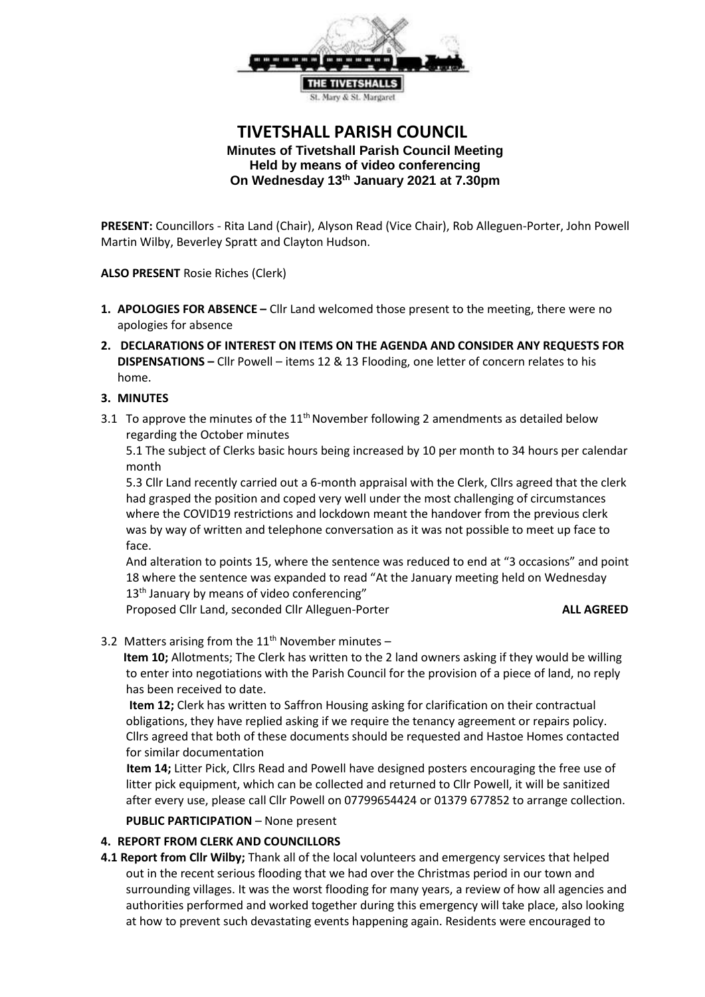

# **TIVETSHALL PARISH COUNCIL Minutes of Tivetshall Parish Council Meeting Held by means of video conferencing On Wednesday 13th January 2021 at 7.30pm**

**PRESENT:** Councillors - Rita Land (Chair), Alyson Read (Vice Chair), Rob Alleguen-Porter, John Powell Martin Wilby, Beverley Spratt and Clayton Hudson.

**ALSO PRESENT** Rosie Riches (Clerk)

- **1. APOLOGIES FOR ABSENCE –** Cllr Land welcomed those present to the meeting, there were no apologies for absence
- **2. DECLARATIONS OF INTEREST ON ITEMS ON THE AGENDA AND CONSIDER ANY REQUESTS FOR DISPENSATIONS –** Cllr Powell – items 12 & 13 Flooding, one letter of concern relates to his home.

# **3. MINUTES**

3.1 To approve the minutes of the  $11^{th}$  November following 2 amendments as detailed below regarding the October minutes

5.1 The subject of Clerks basic hours being increased by 10 per month to 34 hours per calendar month

5.3 Cllr Land recently carried out a 6-month appraisal with the Clerk, Cllrs agreed that the clerk had grasped the position and coped very well under the most challenging of circumstances where the COVID19 restrictions and lockdown meant the handover from the previous clerk was by way of written and telephone conversation as it was not possible to meet up face to face.

And alteration to points 15, where the sentence was reduced to end at "3 occasions" and point 18 where the sentence was expanded to read "At the January meeting held on Wednesday 13<sup>th</sup> January by means of video conferencing"

Proposed Cllr Land, seconded Cllr Alleguen-Porter **ALL AGREED**

### 3.2 Matters arising from the  $11<sup>th</sup>$  November minutes –

 **Item 10;** Allotments; The Clerk has written to the 2 land owners asking if they would be willing to enter into negotiations with the Parish Council for the provision of a piece of land, no reply has been received to date.

 **Item 12;** Clerk has written to Saffron Housing asking for clarification on their contractual obligations, they have replied asking if we require the tenancy agreement or repairs policy. Cllrs agreed that both of these documents should be requested and Hastoe Homes contacted for similar documentation

 **Item 14;** Litter Pick, Cllrs Read and Powell have designed posters encouraging the free use of litter pick equipment, which can be collected and returned to Cllr Powell, it will be sanitized after every use, please call Cllr Powell on 07799654424 or 01379 677852 to arrange collection.

### **PUBLIC PARTICIPATION** – None present

### **4. REPORT FROM CLERK AND COUNCILLORS**

**4.1 Report from Cllr Wilby;** Thank all of the local volunteers and emergency services that helped out in the recent serious flooding that we had over the Christmas period in our town and surrounding villages. It was the worst flooding for many years, a review of how all agencies and authorities performed and worked together during this emergency will take place, also looking at how to prevent such devastating events happening again. Residents were encouraged to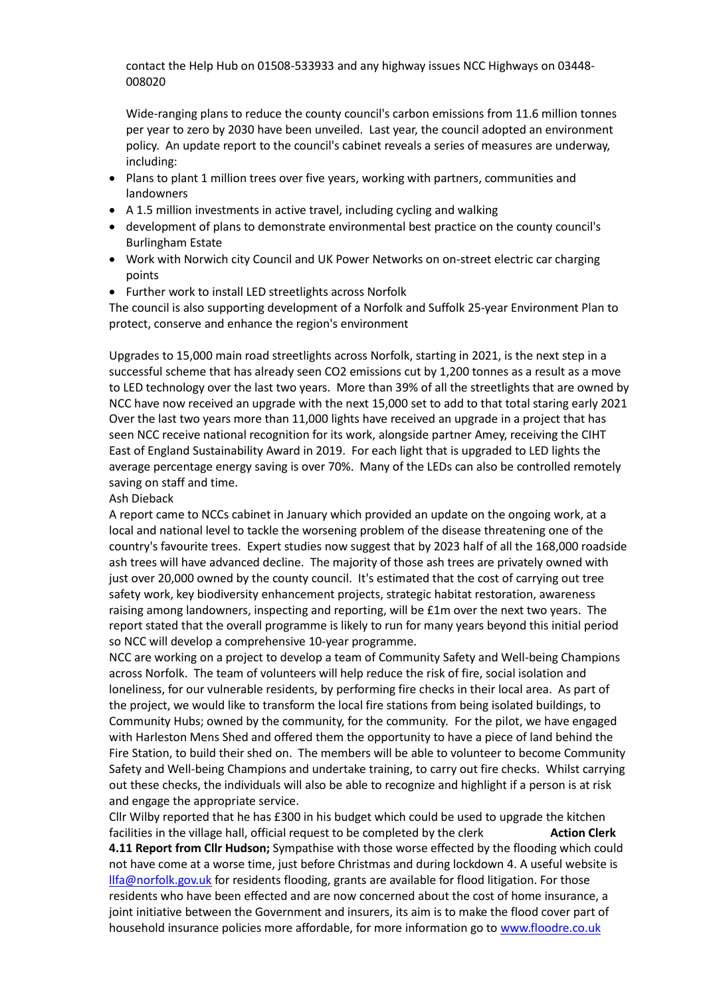contact the Help Hub on 01508-533933 and any highway issues NCC Highways on 03448- 008020

Wide-ranging plans to reduce the county council's carbon emissions from 11.6 million tonnes per year to zero by 2030 have been unveiled. Last year, the council adopted an environment policy. An update report to the council's cabinet reveals a series of measures are underway, including:

- Plans to plant 1 million trees over five years, working with partners, communities and landowners
- A 1.5 million investments in active travel, including cycling and walking
- development of plans to demonstrate environmental best practice on the county council's Burlingham Estate
- Work with Norwich city Council and UK Power Networks on on-street electric car charging points
- Further work to install LED streetlights across Norfolk

The council is also supporting development of a Norfolk and Suffolk 25-year Environment Plan to protect, conserve and enhance the region's environment

Upgrades to 15,000 main road streetlights across Norfolk, starting in 2021, is the next step in a successful scheme that has already seen CO2 emissions cut by 1,200 tonnes as a result as a move to LED technology over the last two years. More than 39% of all the streetlights that are owned by NCC have now received an upgrade with the next 15,000 set to add to that total staring early 2021 Over the last two years more than 11,000 lights have received an upgrade in a project that has seen NCC receive national recognition for its work, alongside partner Amey, receiving the CIHT East of England Sustainability Award in 2019. For each light that is upgraded to LED lights the average percentage energy saving is over 70%. Many of the LEDs can also be controlled remotely saving on staff and time.

#### Ash Dieback

A report came to NCCs cabinet in January which provided an update on the ongoing work, at a local and national level to tackle the worsening problem of the disease threatening one of the country's favourite trees. Expert studies now suggest that by 2023 half of all the 168,000 roadside ash trees will have advanced decline. The majority of those ash trees are privately owned with just over 20,000 owned by the county council. It's estimated that the cost of carrying out tree safety work, key biodiversity enhancement projects, strategic habitat restoration, awareness raising among landowners, inspecting and reporting, will be £1m over the next two years. The report stated that the overall programme is likely to run for many years beyond this initial period so NCC will develop a comprehensive 10-year programme.

NCC are working on a project to develop a team of Community Safety and Well-being Champions across Norfolk. The team of volunteers will help reduce the risk of fire, social isolation and loneliness, for our vulnerable residents, by performing fire checks in their local area. As part of the project, we would like to transform the local fire stations from being isolated buildings, to Community Hubs; owned by the community, for the community. For the pilot, we have engaged with Harleston Mens Shed and offered them the opportunity to have a piece of land behind the Fire Station, to build their shed on. The members will be able to volunteer to become Community Safety and Well-being Champions and undertake training, to carry out fire checks. Whilst carrying out these checks, the individuals will also be able to recognize and highlight if a person is at risk and engage the appropriate service.

Cllr Wilby reported that he has £300 in his budget which could be used to upgrade the kitchen facilities in the village hall, official request to be completed by the clerk **Action Clerk 4.11 Report from Cllr Hudson;** Sympathise with those worse effected by the flooding which could not have come at a worse time, just before Christmas and during lockdown 4. A useful website is [llfa@norfolk.gov.uk](mailto:llfa@norfolk.gov.uk) for residents flooding, grants are available for flood litigation. For those residents who have been effected and are now concerned about the cost of home insurance, a joint initiative between the Government and insurers, its aim is to make the flood cover part of household insurance policies more affordable, for more information go t[o www.floodre.co.uk](http://www.floodre.co.uk/)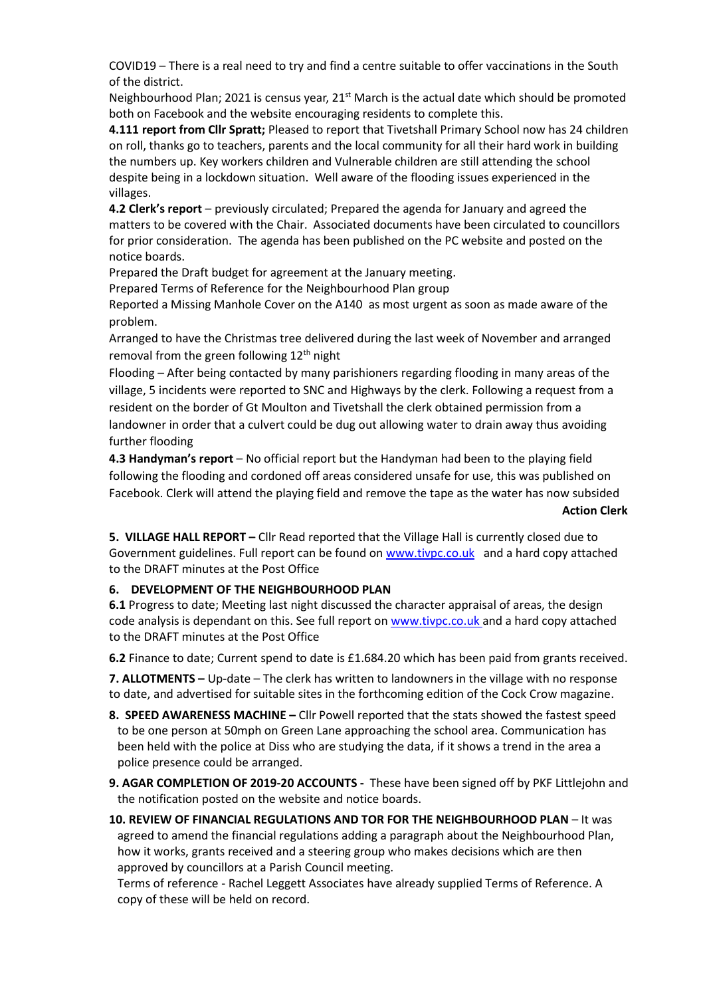COVID19 – There is a real need to try and find a centre suitable to offer vaccinations in the South of the district.

Neighbourhood Plan; 2021 is census year,  $21<sup>st</sup>$  March is the actual date which should be promoted both on Facebook and the website encouraging residents to complete this.

**4.111 report from Cllr Spratt;** Pleased to report that Tivetshall Primary School now has 24 children on roll, thanks go to teachers, parents and the local community for all their hard work in building the numbers up. Key workers children and Vulnerable children are still attending the school despite being in a lockdown situation. Well aware of the flooding issues experienced in the villages.

**4.2 Clerk's report** – previously circulated; Prepared the agenda for January and agreed the matters to be covered with the Chair. Associated documents have been circulated to councillors for prior consideration. The agenda has been published on the PC website and posted on the notice boards.

Prepared the Draft budget for agreement at the January meeting.

Prepared Terms of Reference for the Neighbourhood Plan group

Reported a Missing Manhole Cover on the A140 as most urgent as soon as made aware of the problem.

Arranged to have the Christmas tree delivered during the last week of November and arranged removal from the green following 12<sup>th</sup> night

Flooding – After being contacted by many parishioners regarding flooding in many areas of the village, 5 incidents were reported to SNC and Highways by the clerk. Following a request from a resident on the border of Gt Moulton and Tivetshall the clerk obtained permission from a landowner in order that a culvert could be dug out allowing water to drain away thus avoiding further flooding

**4.3 Handyman's report** – No official report but the Handyman had been to the playing field following the flooding and cordoned off areas considered unsafe for use, this was published on Facebook. Clerk will attend the playing field and remove the tape as the water has now subsided

### **Action Clerk**

**5. VILLAGE HALL REPORT –** Cllr Read reported that the Village Hall is currently closed due to Government guidelines. Full report can be found on [www.tivpc.co.uk](http://www.tivpc.co.uk/) and a hard copy attached to the DRAFT minutes at the Post Office

# **6. DEVELOPMENT OF THE NEIGHBOURHOOD PLAN**

**6.1** Progress to date; Meeting last night discussed the character appraisal of areas, the design code analysis is dependant on this. See full report on [www.tivpc.co.uk](http://www.tivpc.co.uk/) and a hard copy attached to the DRAFT minutes at the Post Office

**6.2** Finance to date; Current spend to date is £1.684.20 which has been paid from grants received.

**7. ALLOTMENTS –** Up-date – The clerk has written to landowners in the village with no response to date, and advertised for suitable sites in the forthcoming edition of the Cock Crow magazine.

**8. SPEED AWARENESS MACHINE –** Cllr Powell reported that the stats showed the fastest speed to be one person at 50mph on Green Lane approaching the school area. Communication has been held with the police at Diss who are studying the data, if it shows a trend in the area a police presence could be arranged.

**9. AGAR COMPLETION OF 2019-20 ACCOUNTS -** These have been signed off by PKF Littlejohn and the notification posted on the website and notice boards.

**10. REVIEW OF FINANCIAL REGULATIONS AND TOR FOR THE NEIGHBOURHOOD PLAN** – It was agreed to amend the financial regulations adding a paragraph about the Neighbourhood Plan, how it works, grants received and a steering group who makes decisions which are then approved by councillors at a Parish Council meeting.

Terms of reference - Rachel Leggett Associates have already supplied Terms of Reference. A copy of these will be held on record.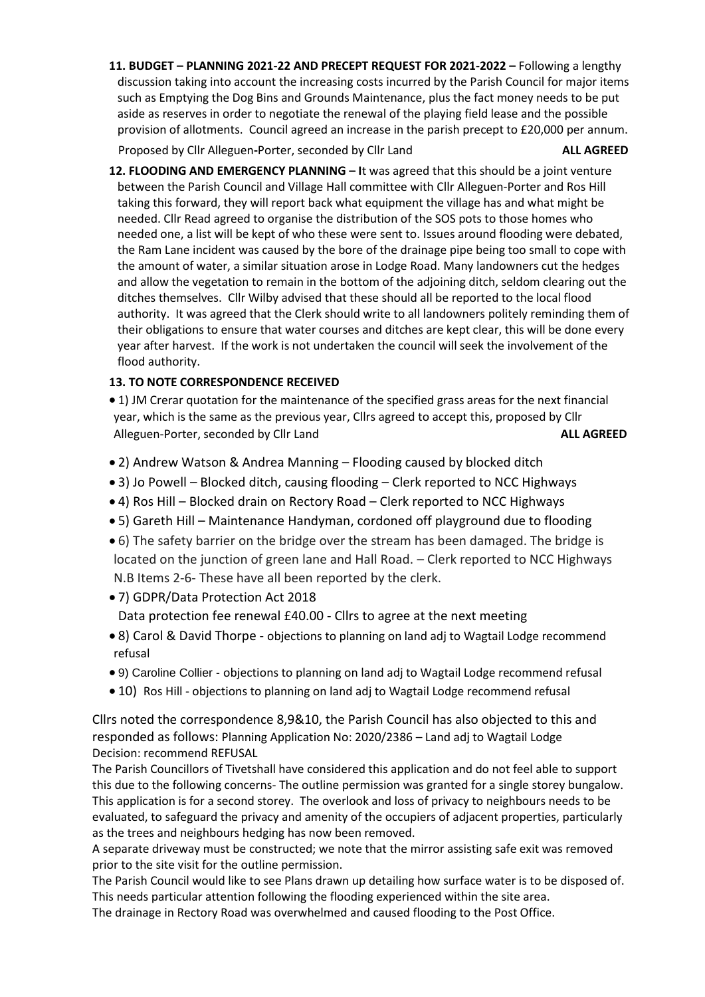**11. BUDGET – PLANNING 2021-22 AND PRECEPT REQUEST FOR 2021-2022 –** Following a lengthy discussion taking into account the increasing costs incurred by the Parish Council for major items such as Emptying the Dog Bins and Grounds Maintenance, plus the fact money needs to be put aside as reserves in order to negotiate the renewal of the playing field lease and the possible provision of allotments. Council agreed an increase in the parish precept to £20,000 per annum.

Proposed by Cllr Alleguen**-**Porter, seconded by Cllr Land **ALL AGREED**

**12. FLOODING AND EMERGENCY PLANNING – I**t was agreed that this should be a joint venture between the Parish Council and Village Hall committee with Cllr Alleguen-Porter and Ros Hill taking this forward, they will report back what equipment the village has and what might be needed. Cllr Read agreed to organise the distribution of the SOS pots to those homes who needed one, a list will be kept of who these were sent to. Issues around flooding were debated, the Ram Lane incident was caused by the bore of the drainage pipe being too small to cope with the amount of water, a similar situation arose in Lodge Road. Many landowners cut the hedges and allow the vegetation to remain in the bottom of the adjoining ditch, seldom clearing out the ditches themselves. Cllr Wilby advised that these should all be reported to the local flood authority. It was agreed that the Clerk should write to all landowners politely reminding them of their obligations to ensure that water courses and ditches are kept clear, this will be done every year after harvest. If the work is not undertaken the council will seek the involvement of the flood authority.

# **13. TO NOTE CORRESPONDENCE RECEIVED**

- 1) JM Crerar quotation for the maintenance of the specified grass areas for the next financial year, which is the same as the previous year, Cllrs agreed to accept this, proposed by Cllr Alleguen-Porter, seconded by Cllr Land **ALL AGREED**
- 2) Andrew Watson & Andrea Manning Flooding caused by blocked ditch
- 3) Jo Powell Blocked ditch, causing flooding Clerk reported to NCC Highways
- 4) Ros Hill Blocked drain on Rectory Road Clerk reported to NCC Highways
- 5) Gareth Hill Maintenance Handyman, cordoned off playground due to flooding
- 6) The safety barrier on the bridge over the stream has been damaged. The bridge is located on the junction of green lane and Hall Road. – Clerk reported to NCC Highways N.B Items 2-6- These have all been reported by the clerk.
- 7) GDPR/Data Protection Act 2018 Data protection fee renewal £40.00 - Cllrs to agree at the next meeting
- 8) Carol & David Thorpe objections to planning on land adj to Wagtail Lodge recommend refusal
- 9) Caroline Collier objections to planning on land adj to Wagtail Lodge recommend refusal
- 10) Ros Hill objections to planning on land adj to Wagtail Lodge recommend refusal

Cllrs noted the correspondence 8,9&10, the Parish Council has also objected to this and responded as follows: Planning Application No: 2020/2386 – Land adj to Wagtail Lodge Decision: recommend REFUSAL

The Parish Councillors of Tivetshall have considered this application and do not feel able to support this due to the following concerns- The outline permission was granted for a single storey bungalow. This application is for a second storey. The overlook and loss of privacy to neighbours needs to be evaluated, to safeguard the privacy and amenity of the occupiers of adjacent properties, particularly as the trees and neighbours hedging has now been removed.

A separate driveway must be constructed; we note that the mirror assisting safe exit was removed prior to the site visit for the outline permission.

The Parish Council would like to see Plans drawn up detailing how surface water is to be disposed of. This needs particular attention following the flooding experienced within the site area. The drainage in Rectory Road was overwhelmed and caused flooding to the Post Office.